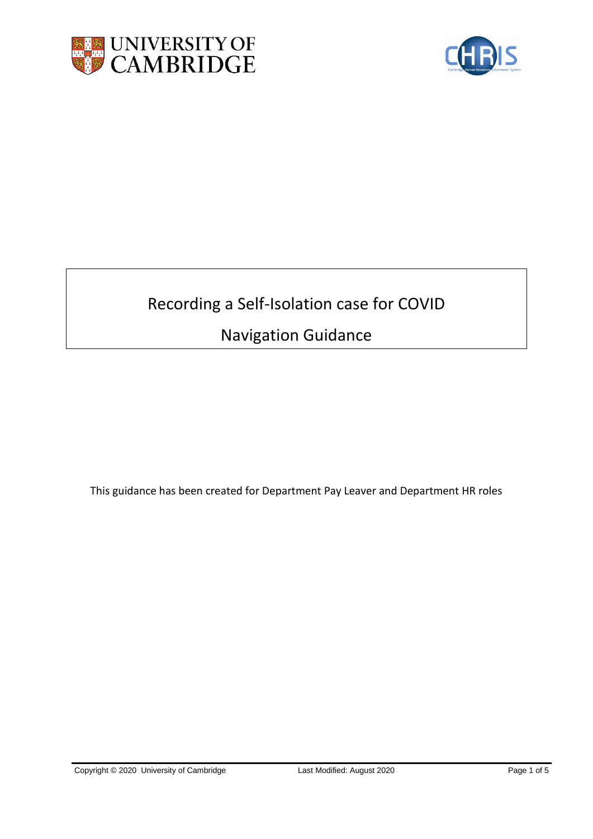



# Recording a Self-Isolation case for COVID

## Navigation Guidance

This guidance has been created for Department Pay Leaver and Department HR roles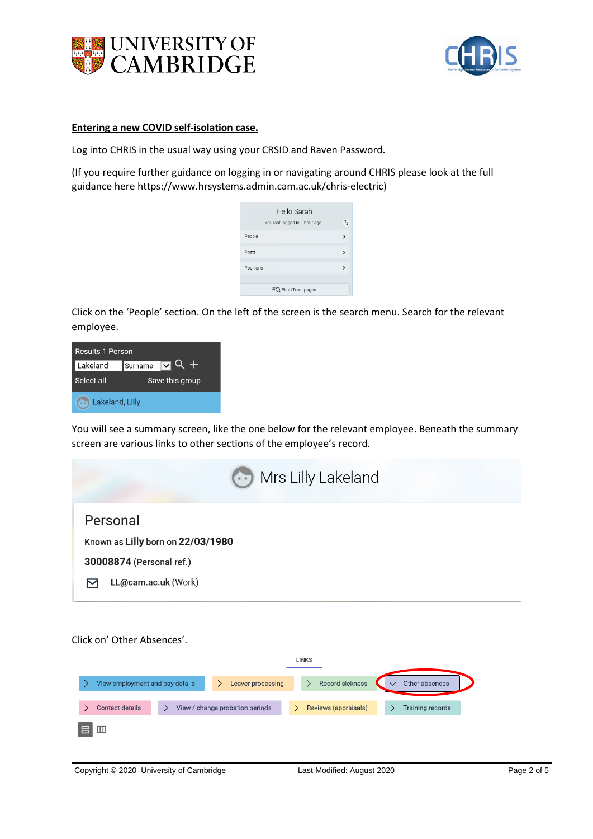



### **Entering a new COVID self-isolation case.**

Log into CHRIS in the usual way using your CRSID and Raven Password.

(If you require further guidance on logging in or navigating around CHRIS please look at the full guidance here https://www.hrsystems.admin.cam.ac.uk/chris-electric)

|           | Hello Sarah                   |   |
|-----------|-------------------------------|---|
|           | You last logged in 1 hour ago |   |
| People    |                               | > |
| Posts     |                               | > |
| Positions |                               |   |
|           |                               |   |
|           | $EQ$ Find iTrent pages        |   |

Click on the 'People' section. On the left of the screen is the search menu. Search for the relevant employee.

| Results 1 Person |                 |                      |  |  |  |
|------------------|-----------------|----------------------|--|--|--|
| Lakeland         | Surname         | $\blacktriangledown$ |  |  |  |
| Select all       | Save this group |                      |  |  |  |
| Lakeland, Lilly  |                 |                      |  |  |  |

You will see a summary screen, like the one below for the relevant employee. Beneath the summary screen are various links to other sections of the employee's record.

| $\cdots$ Mrs Lilly Lakeland                                                                      |
|--------------------------------------------------------------------------------------------------|
| Personal<br>Known as Lilly born on 22/03/1980<br>30008874 (Personal ref.)<br>LL@cam.ac.uk (Work) |

Click on' Other Absences'.

|   |                                 |                                 | <b>LINKS</b> |                      |                  |  |
|---|---------------------------------|---------------------------------|--------------|----------------------|------------------|--|
|   | View employment and pay details | Leaver processing               |              | Record sickness      | Other absences   |  |
|   | <b>Contact details</b>          | View / change probation periods |              | Reviews (appraisals) | Training records |  |
| 吕 | $^{\rm{m}}$                     |                                 |              |                      |                  |  |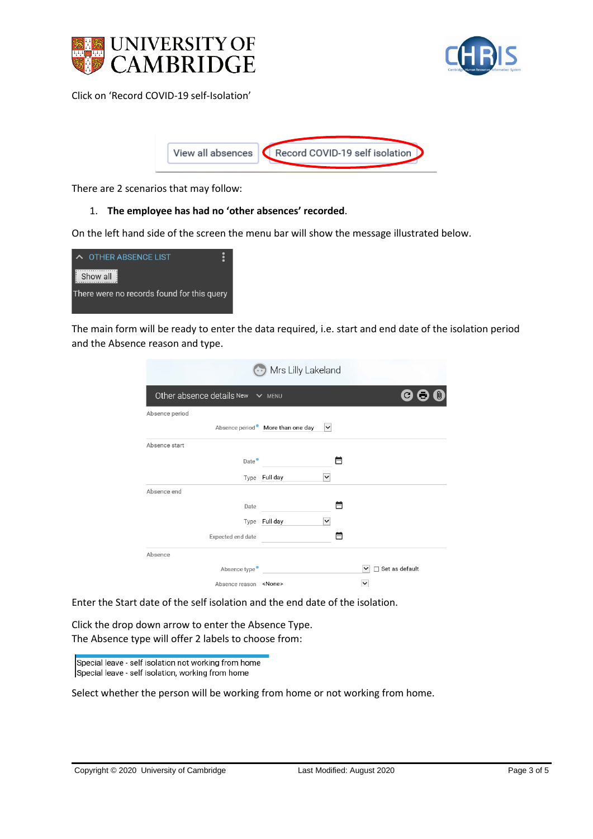



Click on 'Record COVID-19 self-Isolation'



There are 2 scenarios that may follow:

#### 1. **The employee has had no 'other absences' recorded**.

On the left hand side of the screen the menu bar will show the message illustrated below.



The main form will be ready to enter the data required, i.e. start and end date of the isolation period and the Absence reason and type.

| Mrs Lilly Lakeland                    |                                  |              |                                |  |  |
|---------------------------------------|----------------------------------|--------------|--------------------------------|--|--|
| Other absence details New $\vee$ MENU |                                  |              | $\mathbf{C}$                   |  |  |
| Absence period                        |                                  |              |                                |  |  |
|                                       | Absence period More than one day | $\checkmark$ |                                |  |  |
| Absence start                         |                                  |              |                                |  |  |
| Date <sup>•</sup>                     |                                  |              | ▥                              |  |  |
|                                       | Type Full day                    | $\check{~}$  |                                |  |  |
| Absence end                           |                                  |              |                                |  |  |
| Date                                  |                                  |              | m                              |  |  |
|                                       | Type Full day                    | $\checkmark$ |                                |  |  |
| Expected end date                     |                                  |              | l-                             |  |  |
| Absence                               |                                  |              |                                |  |  |
| Absence type •                        |                                  |              | Set as default<br>$\checkmark$ |  |  |
| Absence reason <none></none>          |                                  |              | $\checkmark$                   |  |  |

Enter the Start date of the self isolation and the end date of the isolation.

Click the drop down arrow to enter the Absence Type. The Absence type will offer 2 labels to choose from:

Special leave - self isolation not working from home Special leave - self isolation, working from home

Select whether the person will be working from home or not working from home.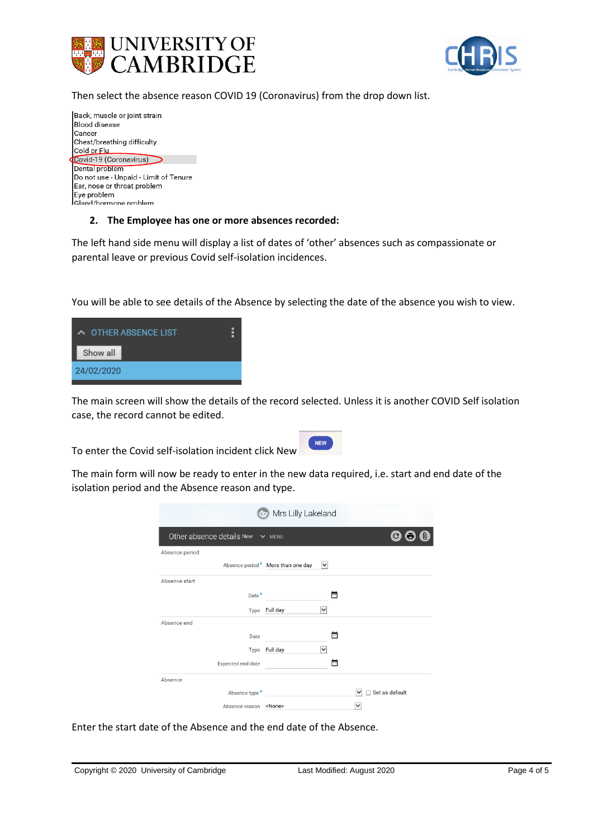



Then select the absence reason COVID 19 (Coronavirus) from the drop down list.



#### **2. The Employee has one or more absences recorded:**

The left hand side menu will display a list of dates of 'other' absences such as compassionate or parental leave or previous Covid self-isolation incidences.

You will be able to see details of the Absence by selecting the date of the absence you wish to view.



The main screen will show the details of the record selected. Unless it is another COVID Self isolation case, the record cannot be edited.

To enter the Covid self-isolation incident click New

| NEW |  |  |
|-----|--|--|
|     |  |  |

The main form will now be ready to enter in the new data required, i.e. start and end date of the isolation period and the Absence reason and type.

| Mrs Lilly Lakeland                    |                                  |              |   |                               |  |
|---------------------------------------|----------------------------------|--------------|---|-------------------------------|--|
| Other absence details New $\vee$ MENU |                                  |              |   | C                             |  |
| Absence period                        |                                  |              |   |                               |  |
|                                       | Absence period More than one day | $\checkmark$ |   |                               |  |
| Absence start                         |                                  |              |   |                               |  |
| Date <sup>•</sup>                     |                                  |              | न |                               |  |
|                                       | Type Full day                    | $\check{ }$  |   |                               |  |
| Absence end                           |                                  |              |   |                               |  |
| Date                                  |                                  |              | m |                               |  |
|                                       | Type Full day                    | $\checkmark$ |   |                               |  |
| Expected end date                     |                                  |              | m |                               |  |
| Absence                               |                                  |              |   |                               |  |
| Absence type <sup>•</sup>             |                                  |              |   | Set as default<br>$\check{ }$ |  |
| Absence reason <none></none>          |                                  |              |   | $\checkmark$                  |  |

Enter the start date of the Absence and the end date of the Absence.